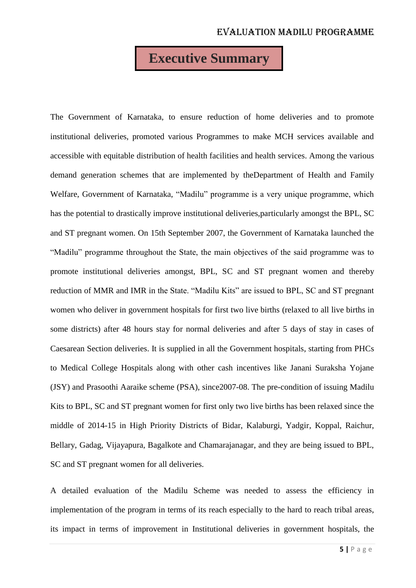# **Executive Summary**

The Government of Karnataka, to ensure reduction of home deliveries and to promote institutional deliveries, promoted various Programmes to make MCH services available and accessible with equitable distribution of health facilities and health services. Among the various demand generation schemes that are implemented by theDepartment of Health and Family Welfare, Government of Karnataka, "Madilu" programme is a very unique programme, which has the potential to drastically improve institutional deliveries,particularly amongst the BPL, SC and ST pregnant women. On 15th September 2007, the Government of Karnataka launched the "Madilu" programme throughout the State, the main objectives of the said programme was to promote institutional deliveries amongst, BPL, SC and ST pregnant women and thereby reduction of MMR and IMR in the State. "Madilu Kits" are issued to BPL, SC and ST pregnant women who deliver in government hospitals for first two live births (relaxed to all live births in some districts) after 48 hours stay for normal deliveries and after 5 days of stay in cases of Caesarean Section deliveries. It is supplied in all the Government hospitals, starting from PHCs to Medical College Hospitals along with other cash incentives like Janani Suraksha Yojane (JSY) and Prasoothi Aaraike scheme (PSA), since2007-08. The pre-condition of issuing Madilu Kits to BPL, SC and ST pregnant women for first only two live births has been relaxed since the middle of 2014-15 in High Priority Districts of Bidar, Kalaburgi, Yadgir, Koppal, Raichur, Bellary, Gadag, Vijayapura, Bagalkote and Chamarajanagar, and they are being issued to BPL, SC and ST pregnant women for all deliveries.

A detailed evaluation of the Madilu Scheme was needed to assess the efficiency in implementation of the program in terms of its reach especially to the hard to reach tribal areas, its impact in terms of improvement in Institutional deliveries in government hospitals, the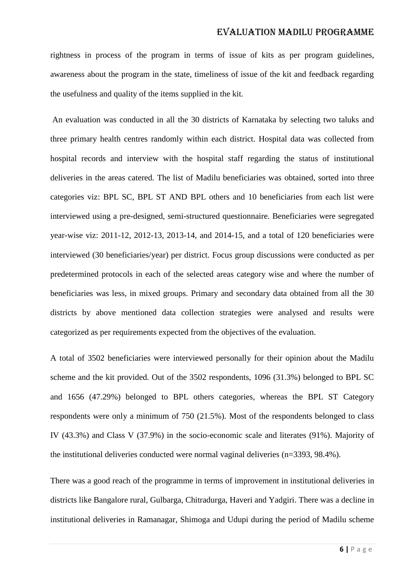rightness in process of the program in terms of issue of kits as per program guidelines, awareness about the program in the state, timeliness of issue of the kit and feedback regarding the usefulness and quality of the items supplied in the kit.

An evaluation was conducted in all the 30 districts of Karnataka by selecting two taluks and three primary health centres randomly within each district. Hospital data was collected from hospital records and interview with the hospital staff regarding the status of institutional deliveries in the areas catered. The list of Madilu beneficiaries was obtained, sorted into three categories viz: BPL SC, BPL ST AND BPL others and 10 beneficiaries from each list were interviewed using a pre-designed, semi-structured questionnaire. Beneficiaries were segregated year-wise viz: 2011-12, 2012-13, 2013-14, and 2014-15, and a total of 120 beneficiaries were interviewed (30 beneficiaries/year) per district. Focus group discussions were conducted as per predetermined protocols in each of the selected areas category wise and where the number of beneficiaries was less, in mixed groups. Primary and secondary data obtained from all the 30 districts by above mentioned data collection strategies were analysed and results were categorized as per requirements expected from the objectives of the evaluation.

A total of 3502 beneficiaries were interviewed personally for their opinion about the Madilu scheme and the kit provided. Out of the 3502 respondents, 1096 (31.3%) belonged to BPL SC and 1656 (47.29%) belonged to BPL others categories, whereas the BPL ST Category respondents were only a minimum of 750 (21.5%). Most of the respondents belonged to class IV (43.3%) and Class V (37.9%) in the socio-economic scale and literates (91%). Majority of the institutional deliveries conducted were normal vaginal deliveries (n=3393, 98.4%).

There was a good reach of the programme in terms of improvement in institutional deliveries in districts like Bangalore rural, Gulbarga, Chitradurga, Haveri and Yadgiri. There was a decline in institutional deliveries in Ramanagar, Shimoga and Udupi during the period of Madilu scheme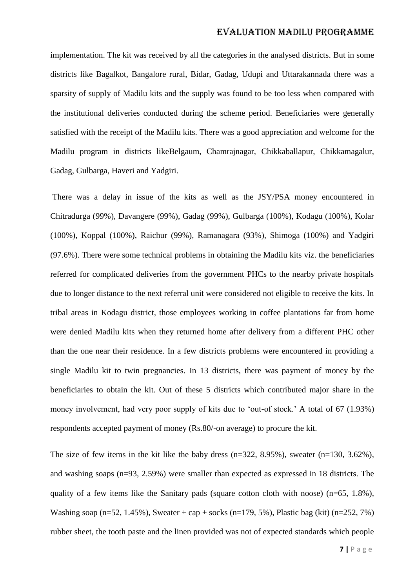implementation. The kit was received by all the categories in the analysed districts. But in some districts like Bagalkot, Bangalore rural, Bidar, Gadag, Udupi and Uttarakannada there was a sparsity of supply of Madilu kits and the supply was found to be too less when compared with the institutional deliveries conducted during the scheme period. Beneficiaries were generally satisfied with the receipt of the Madilu kits. There was a good appreciation and welcome for the Madilu program in districts likeBelgaum, Chamrajnagar, Chikkaballapur, Chikkamagalur, Gadag, Gulbarga, Haveri and Yadgiri.

There was a delay in issue of the kits as well as the JSY/PSA money encountered in Chitradurga (99%), Davangere (99%), Gadag (99%), Gulbarga (100%), Kodagu (100%), Kolar (100%), Koppal (100%), Raichur (99%), Ramanagara (93%), Shimoga (100%) and Yadgiri (97.6%). There were some technical problems in obtaining the Madilu kits viz. the beneficiaries referred for complicated deliveries from the government PHCs to the nearby private hospitals due to longer distance to the next referral unit were considered not eligible to receive the kits. In tribal areas in Kodagu district, those employees working in coffee plantations far from home were denied Madilu kits when they returned home after delivery from a different PHC other than the one near their residence. In a few districts problems were encountered in providing a single Madilu kit to twin pregnancies. In 13 districts, there was payment of money by the beneficiaries to obtain the kit. Out of these 5 districts which contributed major share in the money involvement, had very poor supply of kits due to 'out-of stock.' A total of 67 (1.93%) respondents accepted payment of money (Rs.80/-on average) to procure the kit.

The size of few items in the kit like the baby dress  $(n=322, 8.95\%)$ , sweater  $(n=130, 3.62\%)$ , and washing soaps (n=93, 2.59%) were smaller than expected as expressed in 18 districts. The quality of a few items like the Sanitary pads (square cotton cloth with noose) ( $n=65$ , 1.8%), Washing soap (n=52, 1.45%), Sweater + cap + socks (n=179, 5%), Plastic bag (kit) (n=252, 7%) rubber sheet, the tooth paste and the linen provided was not of expected standards which people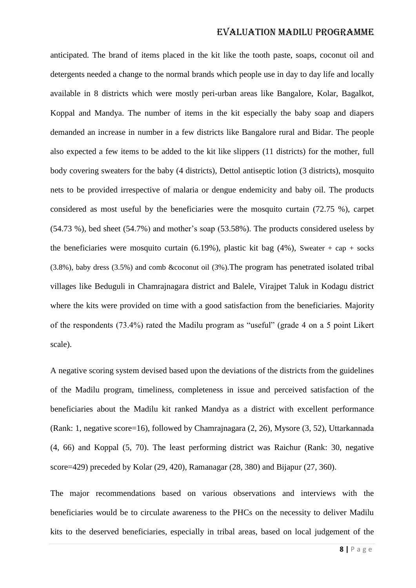anticipated. The brand of items placed in the kit like the tooth paste, soaps, coconut oil and detergents needed a change to the normal brands which people use in day to day life and locally available in 8 districts which were mostly peri-urban areas like Bangalore, Kolar, Bagalkot, Koppal and Mandya. The number of items in the kit especially the baby soap and diapers demanded an increase in number in a few districts like Bangalore rural and Bidar. The people also expected a few items to be added to the kit like slippers (11 districts) for the mother, full body covering sweaters for the baby (4 districts), Dettol antiseptic lotion (3 districts), mosquito nets to be provided irrespective of malaria or dengue endemicity and baby oil. The products considered as most useful by the beneficiaries were the mosquito curtain (72.75 %), carpet (54.73 %), bed sheet (54.7%) and mother's soap (53.58%). The products considered useless by the beneficiaries were mosquito curtain  $(6.19\%)$ , plastic kit bag  $(4\%)$ , Sweater + cap + socks (3.8%), baby dress (3.5%) and comb &coconut oil (3%).The program has penetrated isolated tribal villages like Beduguli in Chamrajnagara district and Balele, Virajpet Taluk in Kodagu district where the kits were provided on time with a good satisfaction from the beneficiaries. Majority of the respondents (73.4%) rated the Madilu program as "useful" (grade 4 on a 5 point Likert scale).

A negative scoring system devised based upon the deviations of the districts from the guidelines of the Madilu program, timeliness, completeness in issue and perceived satisfaction of the beneficiaries about the Madilu kit ranked Mandya as a district with excellent performance (Rank: 1, negative score=16), followed by Chamrajnagara (2, 26), Mysore (3, 52), Uttarkannada (4, 66) and Koppal (5, 70). The least performing district was Raichur (Rank: 30, negative score=429) preceded by Kolar (29, 420), Ramanagar (28, 380) and Bijapur (27, 360).

The major recommendations based on various observations and interviews with the beneficiaries would be to circulate awareness to the PHCs on the necessity to deliver Madilu kits to the deserved beneficiaries, especially in tribal areas, based on local judgement of the